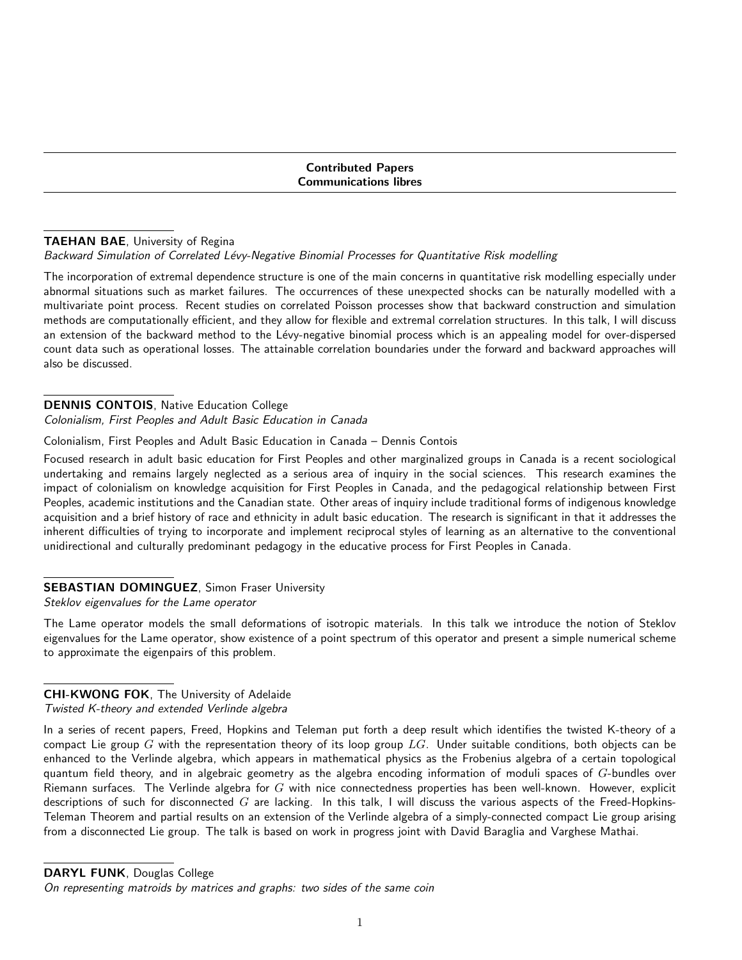Contributed Papers Communications libres

## TAEHAN BAE, University of Regina

### Backward Simulation of Correlated Lévy-Negative Binomial Processes for Quantitative Risk modelling

The incorporation of extremal dependence structure is one of the main concerns in quantitative risk modelling especially under abnormal situations such as market failures. The occurrences of these unexpected shocks can be naturally modelled with a multivariate point process. Recent studies on correlated Poisson processes show that backward construction and simulation methods are computationally efficient, and they allow for flexible and extremal correlation structures. In this talk, I will discuss an extension of the backward method to the Lévy-negative binomial process which is an appealing model for over-dispersed count data such as operational losses. The attainable correlation boundaries under the forward and backward approaches will also be discussed.

## DENNIS CONTOIS, Native Education College

Colonialism, First Peoples and Adult Basic Education in Canada

### Colonialism, First Peoples and Adult Basic Education in Canada – Dennis Contois

Focused research in adult basic education for First Peoples and other marginalized groups in Canada is a recent sociological undertaking and remains largely neglected as a serious area of inquiry in the social sciences. This research examines the impact of colonialism on knowledge acquisition for First Peoples in Canada, and the pedagogical relationship between First Peoples, academic institutions and the Canadian state. Other areas of inquiry include traditional forms of indigenous knowledge acquisition and a brief history of race and ethnicity in adult basic education. The research is significant in that it addresses the inherent difficulties of trying to incorporate and implement reciprocal styles of learning as an alternative to the conventional unidirectional and culturally predominant pedagogy in the educative process for First Peoples in Canada.

# SEBASTIAN DOMINGUEZ, Simon Fraser University

Steklov eigenvalues for the Lame operator

The Lame operator models the small deformations of isotropic materials. In this talk we introduce the notion of Steklov eigenvalues for the Lame operator, show existence of a point spectrum of this operator and present a simple numerical scheme to approximate the eigenpairs of this problem.

# CHI-KWONG FOK, The University of Adelaide

# Twisted K-theory and extended Verlinde algebra

In a series of recent papers, Freed, Hopkins and Teleman put forth a deep result which identifies the twisted K-theory of a compact Lie group  $G$  with the representation theory of its loop group  $LG$ . Under suitable conditions, both objects can be enhanced to the Verlinde algebra, which appears in mathematical physics as the Frobenius algebra of a certain topological quantum field theory, and in algebraic geometry as the algebra encoding information of moduli spaces of  $G$ -bundles over Riemann surfaces. The Verlinde algebra for  $G$  with nice connectedness properties has been well-known. However, explicit descriptions of such for disconnected  $G$  are lacking. In this talk, I will discuss the various aspects of the Freed-Hopkins-Teleman Theorem and partial results on an extension of the Verlinde algebra of a simply-connected compact Lie group arising from a disconnected Lie group. The talk is based on work in progress joint with David Baraglia and Varghese Mathai.

DARYL FUNK, Douglas College

On representing matroids by matrices and graphs: two sides of the same coin